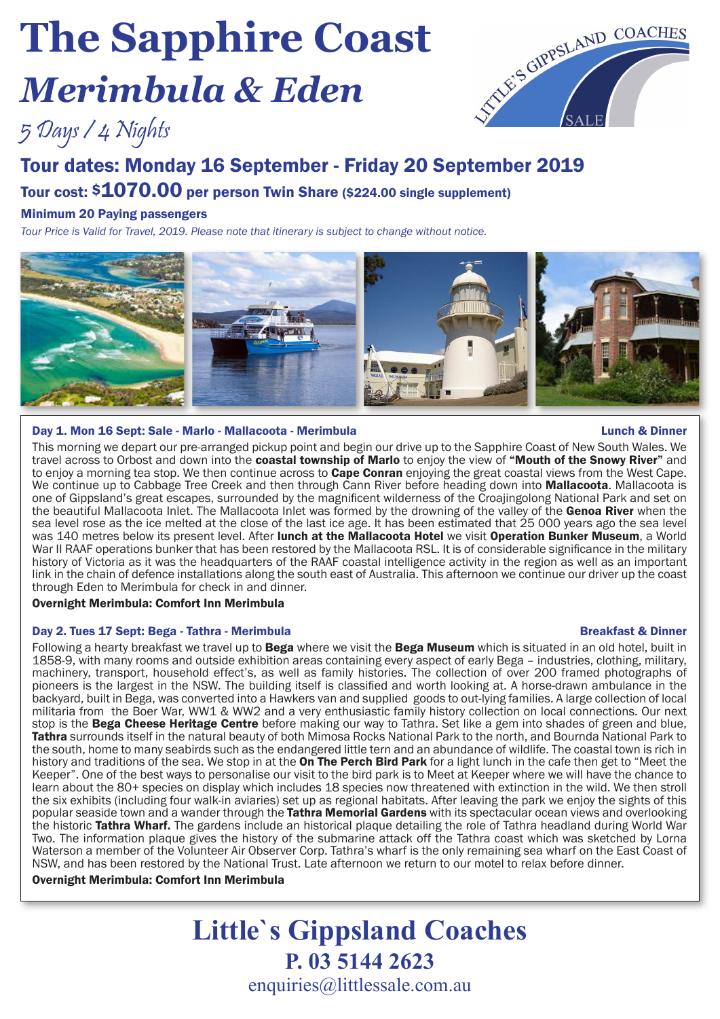# **The Sapphire Coast**  *Merimbula & Eden*



## 5 Days / 4 Nights

# Tour dates: Monday 16 September - Friday 20 September 2019

## Tour cost: \$1070.00 per person Twin Share (\$224.00 single supplement)

## Minimum 20 Paying passengers

*Tour Price is Valid for Travel, 2019. Please note that itinerary is subject to change without notice.*



### Day 1. Mon 16 Sept: Sale - Marlo - Mallacoota - Merimbula Lunch & Dinner

This morning we depart our pre-arranged pickup point and begin our drive up to the Sapphire Coast of New South Wales. We travel across to Orbost and down into the coastal township of Marlo to enjoy the view of "Mouth of the Snowy River" and to enjoy a morning tea stop. We then continue across to **Cape Conran** enjoying the great coastal views from the West Cape. We continue up to Cabbage Tree Creek and then through Cann River before heading down into Mallacoota. Mallacoota is one of Gippsland's great escapes, surrounded by the magnificent wilderness of the Croajingolong National Park and set on the beautiful Mallacoota Inlet. The Mallacoota Inlet was formed by the drowning of the valley of the Genoa River when the sea level rose as the ice melted at the close of the last ice age. It has been estimated that 25 000 years ago the sea level was 140 metres below its present level. After lunch at the Mallacoota Hotel we visit Operation Bunker Museum, a World War II RAAF operations bunker that has been restored by the Mallacoota RSL. It is of considerable significance in the military history of Victoria as it was the headquarters of the RAAF coastal intelligence activity in the region as well as an important link in the chain of defence installations along the south east of Australia. This afternoon we continue our driver up the coast through Eden to Merimbula for check in and dinner.

## Overnight Merimbula: Comfort Inn Merimbula

## Day 2. Tues 17 Sept: Bega - Tathra - Merimbula Breakfast & Dinner

Following a hearty breakfast we travel up to Bega where we visit the Bega Museum which is situated in an old hotel, built in 1858-9, with many rooms and outside exhibition areas containing every aspect of early Bega – industries, clothing, military, machinery, transport, household effect's, as well as family histories. The collection of over 200 framed photographs of pioneers is the largest in the NSW. The building itself is classified and worth looking at. A horse-drawn ambulance in the backyard, built in Bega, was converted into a Hawkers van and supplied goods to out-lying families. A large collection of local militaria from the Boer War, WW1 & WW2 and a very enthusiastic family history collection on local connections. Our next stop is the Bega Cheese Heritage Centre before making our way to Tathra. Set like a gem into shades of green and blue, Tathra surrounds itself in the natural beauty of both Mimosa Rocks National Park to the north, and Bournda National Park to the south, home to many seabirds such as the endangered little tern and an abundance of wildlife. The coastal town is rich in history and traditions of the sea. We stop in at the **On The Perch Bird Park** for a light lunch in the cafe then get to "Meet the Keeper". One of the best ways to personalise our visit to the bird park is to Meet at Keeper where we will have the chance to learn about the 80+ species on display which includes 18 species now threatened with extinction in the wild. We then stroll the six exhibits (including four walk-in aviaries) set up as regional habitats. After leaving the park we enjoy the sights of this popular seaside town and a wander through the Tathra Memorial Gardens with its spectacular ocean views and overlooking the historic Tathra Wharf. The gardens include an historical plaque detailing the role of Tathra headland during World War Two. The information plaque gives the history of the submarine attack off the Tathra coast which was sketched by Lorna Waterson a member of the Volunteer Air Observer Corp. Tathra's wharf is the only remaining sea wharf on the East Coast of NSW, and has been restored by the National Trust. Late afternoon we return to our motel to relax before dinner.

### Overnight Merimbula: Comfort Inn Merimbula

## **Little`s Gippsland Coaches P. 03 5144 2623**  enquiries@littlessale.com.au